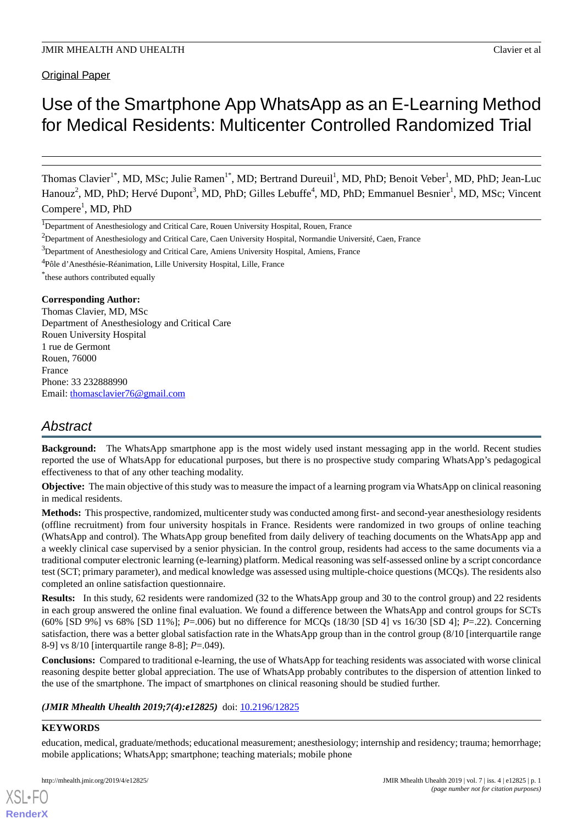# Use of the Smartphone App WhatsApp as an E-Learning Method for Medical Residents: Multicenter Controlled Randomized Trial

Thomas Clavier<sup>1\*</sup>, MD, MSc; Julie Ramen<sup>1\*</sup>, MD; Bertrand Dureuil<sup>1</sup>, MD, PhD; Benoit Veber<sup>1</sup>, MD, PhD; Jean-Luc Hanouz<sup>2</sup>, MD, PhD; Hervé Dupont<sup>3</sup>, MD, PhD; Gilles Lebuffe<sup>4</sup>, MD, PhD; Emmanuel Besnier<sup>1</sup>, MD, MSc; Vincent Compere<sup>1</sup>, MD, PhD

<sup>3</sup>Department of Anesthesiology and Critical Care, Amiens University Hospital, Amiens, France

<sup>4</sup>Pôle d'Anesthésie-Réanimation, Lille University Hospital, Lille, France

\* these authors contributed equally

# **Corresponding Author:**

Thomas Clavier, MD, MSc Department of Anesthesiology and Critical Care Rouen University Hospital 1 rue de Germont Rouen, 76000 France Phone: 33 232888990 Email: [thomasclavier76@gmail.com](mailto:thomasclavier76@gmail.com)

# *Abstract*

**Background:** The WhatsApp smartphone app is the most widely used instant messaging app in the world. Recent studies reported the use of WhatsApp for educational purposes, but there is no prospective study comparing WhatsApp's pedagogical effectiveness to that of any other teaching modality.

**Objective:** The main objective of this study was to measure the impact of a learning program via WhatsApp on clinical reasoning in medical residents.

**Methods:** This prospective, randomized, multicenter study was conducted among first- and second-year anesthesiology residents (offline recruitment) from four university hospitals in France. Residents were randomized in two groups of online teaching (WhatsApp and control). The WhatsApp group benefited from daily delivery of teaching documents on the WhatsApp app and a weekly clinical case supervised by a senior physician. In the control group, residents had access to the same documents via a traditional computer electronic learning (e-learning) platform. Medical reasoning was self-assessed online by a script concordance test (SCT; primary parameter), and medical knowledge was assessed using multiple-choice questions (MCQs). The residents also completed an online satisfaction questionnaire.

**Results:** In this study, 62 residents were randomized (32 to the WhatsApp group and 30 to the control group) and 22 residents in each group answered the online final evaluation. We found a difference between the WhatsApp and control groups for SCTs (60% [SD 9%] vs 68% [SD 11%]; *P*=.006) but no difference for MCQs (18/30 [SD 4] vs 16/30 [SD 4]; *P*=.22). Concerning satisfaction, there was a better global satisfaction rate in the WhatsApp group than in the control group (8/10 [interquartile range 8-9] vs 8/10 [interquartile range 8-8]; *P*=.049).

**Conclusions:** Compared to traditional e-learning, the use of WhatsApp for teaching residents was associated with worse clinical reasoning despite better global appreciation. The use of WhatsApp probably contributes to the dispersion of attention linked to the use of the smartphone. The impact of smartphones on clinical reasoning should be studied further.

# *(JMIR Mhealth Uhealth 2019;7(4):e12825)* doi: [10.2196/12825](http://dx.doi.org/10.2196/12825)

# **KEYWORDS**

[XSL](http://www.w3.org/Style/XSL)•FO **[RenderX](http://www.renderx.com/)**

education, medical, graduate/methods; educational measurement; anesthesiology; internship and residency; trauma; hemorrhage; mobile applications; WhatsApp; smartphone; teaching materials; mobile phone

<sup>&</sup>lt;sup>1</sup>Department of Anesthesiology and Critical Care, Rouen University Hospital, Rouen, France

<sup>&</sup>lt;sup>2</sup>Department of Anesthesiology and Critical Care, Caen University Hospital, Normandie Université, Caen, France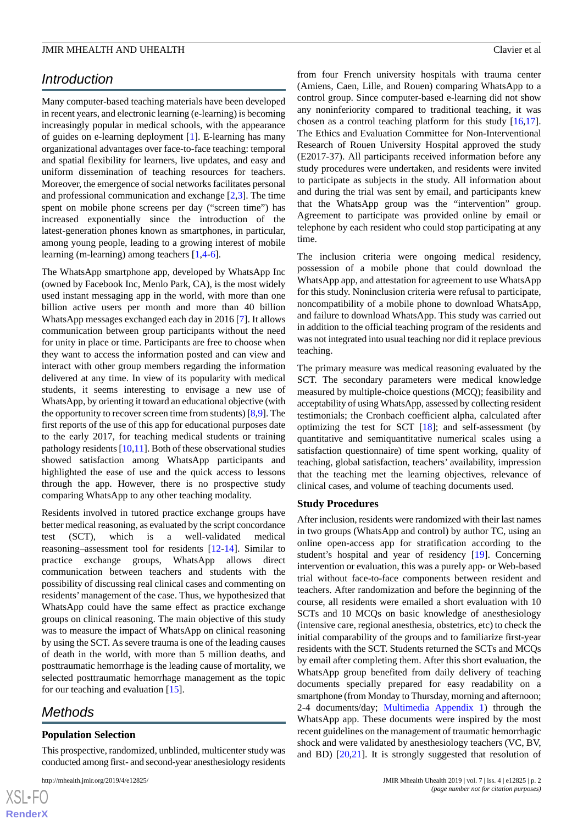# *Introduction*

Many computer-based teaching materials have been developed in recent years, and electronic learning (e-learning) is becoming increasingly popular in medical schools, with the appearance of guides on e-learning deployment [[1\]](#page-7-0). E-learning has many organizational advantages over face-to-face teaching: temporal and spatial flexibility for learners, live updates, and easy and uniform dissemination of teaching resources for teachers. Moreover, the emergence of social networks facilitates personal and professional communication and exchange [\[2](#page-7-1),[3\]](#page-7-2). The time spent on mobile phone screens per day ("screen time") has increased exponentially since the introduction of the latest-generation phones known as smartphones, in particular, among young people, leading to a growing interest of mobile learning (m-learning) among teachers [\[1](#page-7-0),[4-](#page-7-3)[6\]](#page-8-0).

The WhatsApp smartphone app, developed by WhatsApp Inc (owned by Facebook Inc, Menlo Park, CA), is the most widely used instant messaging app in the world, with more than one billion active users per month and more than 40 billion WhatsApp messages exchanged each day in 2016 [[7\]](#page-8-1). It allows communication between group participants without the need for unity in place or time. Participants are free to choose when they want to access the information posted and can view and interact with other group members regarding the information delivered at any time. In view of its popularity with medical students, it seems interesting to envisage a new use of WhatsApp, by orienting it toward an educational objective (with the opportunity to recover screen time from students) [[8](#page-8-2)[,9](#page-8-3)]. The first reports of the use of this app for educational purposes date to the early 2017, for teaching medical students or training pathology residents  $[10,11]$  $[10,11]$  $[10,11]$  $[10,11]$ . Both of these observational studies showed satisfaction among WhatsApp participants and highlighted the ease of use and the quick access to lessons through the app. However, there is no prospective study comparing WhatsApp to any other teaching modality.

Residents involved in tutored practice exchange groups have better medical reasoning, as evaluated by the script concordance test (SCT), which is a well-validated medical reasoning–assessment tool for residents [[12-](#page-8-6)[14](#page-8-7)]. Similar to practice exchange groups, WhatsApp allows direct communication between teachers and students with the possibility of discussing real clinical cases and commenting on residents'management of the case. Thus, we hypothesized that WhatsApp could have the same effect as practice exchange groups on clinical reasoning. The main objective of this study was to measure the impact of WhatsApp on clinical reasoning by using the SCT. As severe trauma is one of the leading causes of death in the world, with more than 5 million deaths, and posttraumatic hemorrhage is the leading cause of mortality, we selected posttraumatic hemorrhage management as the topic for our teaching and evaluation [[15\]](#page-8-8).

# *Methods*

# **Population Selection**

This prospective, randomized, unblinded, multicenter study was conducted among first- and second-year anesthesiology residents

from four French university hospitals with trauma center (Amiens, Caen, Lille, and Rouen) comparing WhatsApp to a control group. Since computer-based e-learning did not show any noninferiority compared to traditional teaching, it was chosen as a control teaching platform for this study [\[16](#page-8-9),[17\]](#page-8-10). The Ethics and Evaluation Committee for Non-Interventional Research of Rouen University Hospital approved the study (E2017-37). All participants received information before any study procedures were undertaken, and residents were invited to participate as subjects in the study. All information about and during the trial was sent by email, and participants knew that the WhatsApp group was the "intervention" group. Agreement to participate was provided online by email or telephone by each resident who could stop participating at any time.

The inclusion criteria were ongoing medical residency, possession of a mobile phone that could download the WhatsApp app, and attestation for agreement to use WhatsApp for this study. Noninclusion criteria were refusal to participate, noncompatibility of a mobile phone to download WhatsApp, and failure to download WhatsApp. This study was carried out in addition to the official teaching program of the residents and was not integrated into usual teaching nor did it replace previous teaching.

The primary measure was medical reasoning evaluated by the SCT. The secondary parameters were medical knowledge measured by multiple-choice questions (MCQ); feasibility and acceptability of using WhatsApp, assessed by collecting resident testimonials; the Cronbach coefficient alpha, calculated after optimizing the test for SCT  $[18]$  $[18]$ ; and self-assessment (by quantitative and semiquantitative numerical scales using a satisfaction questionnaire) of time spent working, quality of teaching, global satisfaction, teachers' availability, impression that the teaching met the learning objectives, relevance of clinical cases, and volume of teaching documents used.

#### **Study Procedures**

After inclusion, residents were randomized with their last names in two groups (WhatsApp and control) by author TC, using an online open-access app for stratification according to the student's hospital and year of residency [[19\]](#page-8-12). Concerning intervention or evaluation, this was a purely app- or Web-based trial without face-to-face components between resident and teachers. After randomization and before the beginning of the course, all residents were emailed a short evaluation with 10 SCTs and 10 MCQs on basic knowledge of anesthesiology (intensive care, regional anesthesia, obstetrics, etc) to check the initial comparability of the groups and to familiarize first-year residents with the SCT. Students returned the SCTs and MCQs by email after completing them. After this short evaluation, the WhatsApp group benefited from daily delivery of teaching documents specially prepared for easy readability on a smartphone (from Monday to Thursday, morning and afternoon; 2-4 documents/day; [Multimedia Appendix 1](#page-7-4)) through the WhatsApp app. These documents were inspired by the most recent guidelines on the management of traumatic hemorrhagic shock and were validated by anesthesiology teachers (VC, BV, and BD) [[20,](#page-8-13)[21\]](#page-8-14). It is strongly suggested that resolution of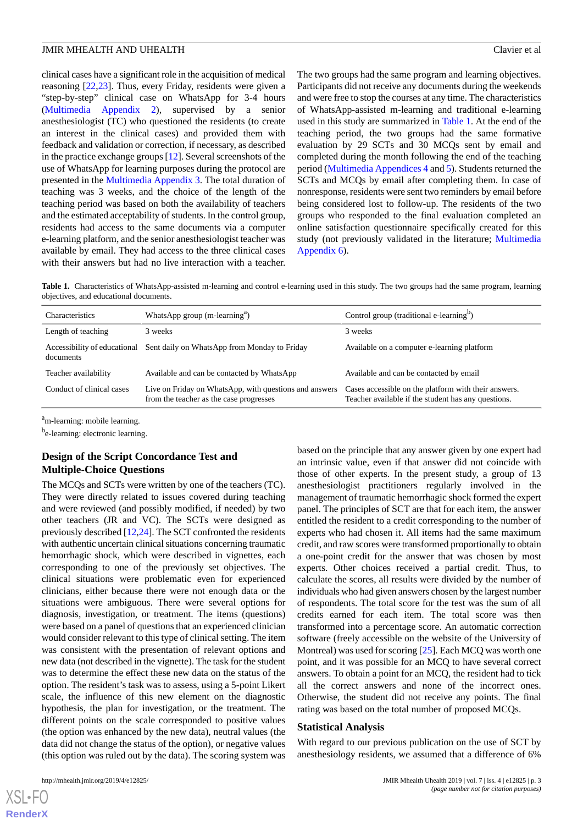clinical cases have a significant role in the acquisition of medical reasoning [[22](#page-8-15)[,23](#page-8-16)]. Thus, every Friday, residents were given a "step-by-step" clinical case on WhatsApp for 3-4 hours ([Multimedia Appendix 2](#page-7-5)), supervised by a senior anesthesiologist (TC) who questioned the residents (to create an interest in the clinical cases) and provided them with feedback and validation or correction, if necessary, as described in the practice exchange groups [[12\]](#page-8-6). Several screenshots of the use of WhatsApp for learning purposes during the protocol are presented in the [Multimedia Appendix 3](#page-7-6). The total duration of teaching was 3 weeks, and the choice of the length of the teaching period was based on both the availability of teachers and the estimated acceptability of students. In the control group, residents had access to the same documents via a computer e-learning platform, and the senior anesthesiologist teacher was available by email. They had access to the three clinical cases with their answers but had no live interaction with a teacher.

The two groups had the same program and learning objectives. Participants did not receive any documents during the weekends and were free to stop the courses at any time. The characteristics of WhatsApp-assisted m-learning and traditional e-learning used in this study are summarized in [Table 1.](#page-2-0) At the end of the teaching period, the two groups had the same formative evaluation by 29 SCTs and 30 MCQs sent by email and completed during the month following the end of the teaching period [\(Multimedia Appendices 4](#page-7-7) and [5\)](#page-7-8). Students returned the SCTs and MCQs by email after completing them. In case of nonresponse, residents were sent two reminders by email before being considered lost to follow-up. The residents of the two groups who responded to the final evaluation completed an online satisfaction questionnaire specifically created for this study (not previously validated in the literature; [Multimedia](#page-7-9) [Appendix 6\)](#page-7-9).

<span id="page-2-0"></span>**Table 1.** Characteristics of WhatsApp-assisted m-learning and control e-learning used in this study. The two groups had the same program, learning objectives, and educational documents.

| <b>Characteristics</b>                    | WhatsApp group $(m$ -learning <sup>a</sup> )                                                      | Control group (traditional e-learning <sup>b</sup> )                                                        |
|-------------------------------------------|---------------------------------------------------------------------------------------------------|-------------------------------------------------------------------------------------------------------------|
| Length of teaching                        | 3 weeks                                                                                           | 3 weeks                                                                                                     |
| Accessibility of educational<br>documents | Sent daily on WhatsApp from Monday to Friday                                                      | Available on a computer e-learning platform                                                                 |
| Teacher availability                      | Available and can be contacted by WhatsApp                                                        | Available and can be contacted by email                                                                     |
| Conduct of clinical cases                 | Live on Friday on WhatsApp, with questions and answers<br>from the teacher as the case progresses | Cases accessible on the platform with their answers.<br>Teacher available if the student has any questions. |

<sup>a</sup>m-learning: mobile learning.

b<sub>e-learning: electronic learning.</sub>

# **Design of the Script Concordance Test and Multiple-Choice Questions**

The MCQs and SCTs were written by one of the teachers (TC). They were directly related to issues covered during teaching and were reviewed (and possibly modified, if needed) by two other teachers (JR and VC). The SCTs were designed as previously described [[12](#page-8-6),[24\]](#page-8-17). The SCT confronted the residents with authentic uncertain clinical situations concerning traumatic hemorrhagic shock, which were described in vignettes, each corresponding to one of the previously set objectives. The clinical situations were problematic even for experienced clinicians, either because there were not enough data or the situations were ambiguous. There were several options for diagnosis, investigation, or treatment. The items (questions) were based on a panel of questions that an experienced clinician would consider relevant to this type of clinical setting. The item was consistent with the presentation of relevant options and new data (not described in the vignette). The task for the student was to determine the effect these new data on the status of the option. The resident's task was to assess, using a 5-point Likert scale, the influence of this new element on the diagnostic hypothesis, the plan for investigation, or the treatment. The different points on the scale corresponded to positive values (the option was enhanced by the new data), neutral values (the data did not change the status of the option), or negative values (this option was ruled out by the data). The scoring system was

an intrinsic value, even if that answer did not coincide with those of other experts. In the present study, a group of 13 anesthesiologist practitioners regularly involved in the management of traumatic hemorrhagic shock formed the expert panel. The principles of SCT are that for each item, the answer entitled the resident to a credit corresponding to the number of experts who had chosen it. All items had the same maximum credit, and raw scores were transformed proportionally to obtain a one-point credit for the answer that was chosen by most experts. Other choices received a partial credit. Thus, to calculate the scores, all results were divided by the number of individuals who had given answers chosen by the largest number of respondents. The total score for the test was the sum of all credits earned for each item. The total score was then transformed into a percentage score. An automatic correction software (freely accessible on the website of the University of Montreal) was used for scoring [\[25](#page-8-18)]. Each MCQ was worth one point, and it was possible for an MCQ to have several correct answers. To obtain a point for an MCQ, the resident had to tick all the correct answers and none of the incorrect ones. Otherwise, the student did not receive any points. The final rating was based on the total number of proposed MCQs.

based on the principle that any answer given by one expert had

#### **Statistical Analysis**

With regard to our previous publication on the use of SCT by anesthesiology residents, we assumed that a difference of 6%

 $XSI - F($ **[RenderX](http://www.renderx.com/)**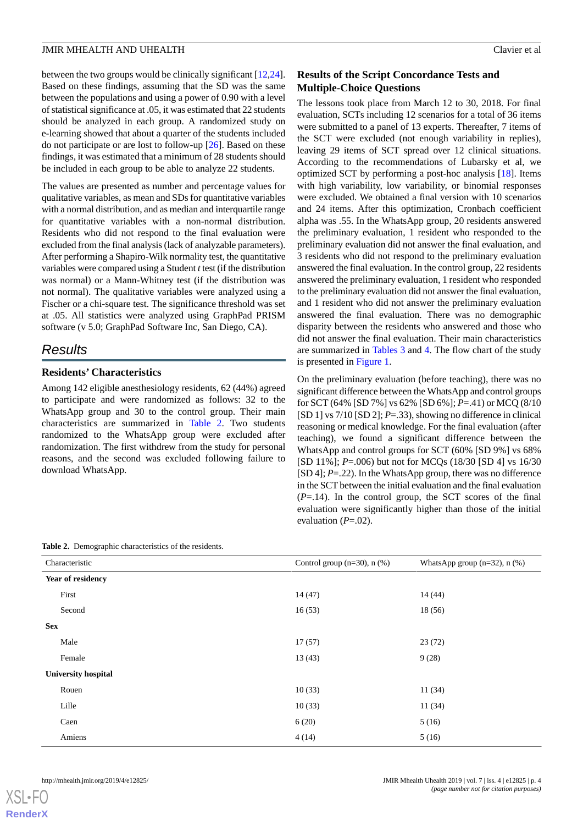between the two groups would be clinically significant [\[12](#page-8-6),[24\]](#page-8-17). Based on these findings, assuming that the SD was the same between the populations and using a power of 0.90 with a level of statistical significance at .05, it was estimated that 22 students should be analyzed in each group. A randomized study on e-learning showed that about a quarter of the students included do not participate or are lost to follow-up [\[26](#page-8-19)]. Based on these findings, it was estimated that a minimum of 28 students should be included in each group to be able to analyze 22 students.

The values are presented as number and percentage values for qualitative variables, as mean and SDs for quantitative variables with a normal distribution, and as median and interquartile range for quantitative variables with a non-normal distribution. Residents who did not respond to the final evaluation were excluded from the final analysis (lack of analyzable parameters). After performing a Shapiro-Wilk normality test, the quantitative variables were compared using a Student *t*test (if the distribution was normal) or a Mann-Whitney test (if the distribution was not normal). The qualitative variables were analyzed using a Fischer or a chi-square test. The significance threshold was set at .05. All statistics were analyzed using GraphPad PRISM software (v 5.0; GraphPad Software Inc, San Diego, CA).

# *Results*

#### **Residents' Characteristics**

Among 142 eligible anesthesiology residents, 62 (44%) agreed to participate and were randomized as follows: 32 to the WhatsApp group and 30 to the control group. Their main characteristics are summarized in [Table 2](#page-3-0). Two students randomized to the WhatsApp group were excluded after randomization. The first withdrew from the study for personal reasons, and the second was excluded following failure to download WhatsApp.

# **Results of the Script Concordance Tests and Multiple-Choice Questions**

The lessons took place from March 12 to 30, 2018. For final evaluation, SCTs including 12 scenarios for a total of 36 items were submitted to a panel of 13 experts. Thereafter, 7 items of the SCT were excluded (not enough variability in replies), leaving 29 items of SCT spread over 12 clinical situations. According to the recommendations of Lubarsky et al, we optimized SCT by performing a post-hoc analysis [[18\]](#page-8-11). Items with high variability, low variability, or binomial responses were excluded. We obtained a final version with 10 scenarios and 24 items. After this optimization, Cronbach coefficient alpha was .55. In the WhatsApp group, 20 residents answered the preliminary evaluation, 1 resident who responded to the preliminary evaluation did not answer the final evaluation, and 3 residents who did not respond to the preliminary evaluation answered the final evaluation. In the control group, 22 residents answered the preliminary evaluation, 1 resident who responded to the preliminary evaluation did not answer the final evaluation, and 1 resident who did not answer the preliminary evaluation answered the final evaluation. There was no demographic disparity between the residents who answered and those who did not answer the final evaluation. Their main characteristics are summarized in [Tables 3](#page-4-0) and [4.](#page-4-1) The flow chart of the study is presented in [Figure 1.](#page-5-0)

On the preliminary evaluation (before teaching), there was no significant difference between the WhatsApp and control groups for SCT (64% [SD 7%] vs 62% [SD 6%]; *P*=.41) or MCQ (8/10 [SD 1] vs 7/10 [SD 2]; *P*=.33), showing no difference in clinical reasoning or medical knowledge. For the final evaluation (after teaching), we found a significant difference between the WhatsApp and control groups for SCT (60% [SD 9%] vs 68% [SD 11%]; *P*=.006) but not for MCQs (18/30 [SD 4] vs 16/30 [SD 4]; *P*=.22). In the WhatsApp group, there was no difference in the SCT between the initial evaluation and the final evaluation  $(P=14)$ . In the control group, the SCT scores of the final evaluation were significantly higher than those of the initial evaluation (*P*=.02).

| Characteristic             | Control group $(n=30)$ , n $(\%)$ | WhatsApp group $(n=32)$ , n $(\%)$ |
|----------------------------|-----------------------------------|------------------------------------|
| Year of residency          |                                   |                                    |
| First                      | 14(47)                            | 14(44)                             |
| Second                     | 16(53)                            | 18(56)                             |
| <b>Sex</b>                 |                                   |                                    |
| Male                       | 17(57)                            | 23(72)                             |
| Female                     | 13(43)                            | 9(28)                              |
| <b>University hospital</b> |                                   |                                    |
| Rouen                      | 10(33)                            | 11(34)                             |
| Lille                      | 10(33)                            | 11(34)                             |
| Caen                       | 6(20)                             | 5(16)                              |
| Amiens                     | 4(14)                             | 5(16)                              |

#### <span id="page-3-0"></span>**Table 2.** Demographic characteristics of the residents.

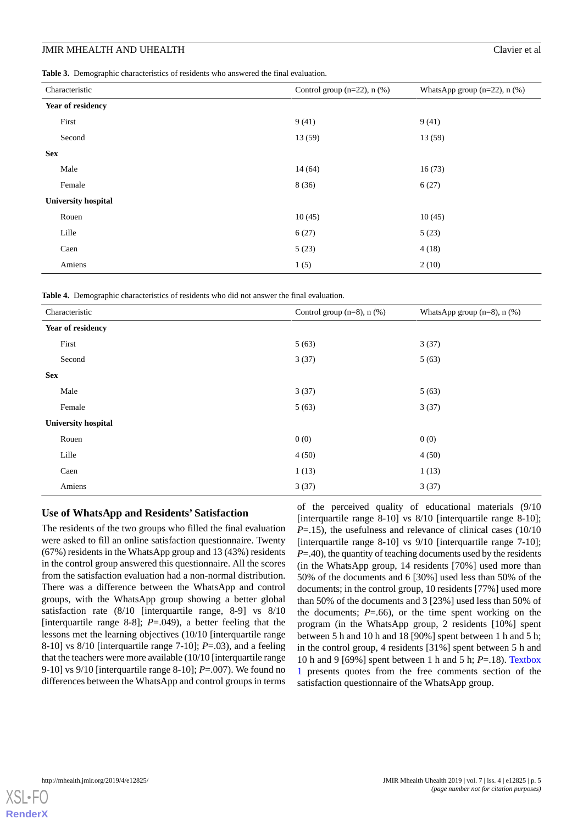<span id="page-4-0"></span>**Table 3.** Demographic characteristics of residents who answered the final evaluation.

| Characteristic             | Control group $(n=22)$ , n $(\%)$ | WhatsApp group $(n=22)$ , n $(\%)$ |
|----------------------------|-----------------------------------|------------------------------------|
| Year of residency          |                                   |                                    |
| First                      | 9(41)                             | 9(41)                              |
| Second                     | 13(59)                            | 13 (59)                            |
| <b>Sex</b>                 |                                   |                                    |
| Male                       | 14(64)                            | 16(73)                             |
| Female                     | 8(36)                             | 6(27)                              |
| <b>University hospital</b> |                                   |                                    |
| Rouen                      | 10(45)                            | 10(45)                             |
| Lille                      | 6(27)                             | 5(23)                              |
| Caen                       | 5(23)                             | 4(18)                              |
| Amiens                     | 1(5)                              | 2(10)                              |

<span id="page-4-1"></span>**Table 4.** Demographic characteristics of residents who did not answer the final evaluation.

| Characteristic             | Control group $(n=8)$ , n $(\%)$ | WhatsApp group $(n=8)$ , n $(\%)$ |
|----------------------------|----------------------------------|-----------------------------------|
| Year of residency          |                                  |                                   |
| First                      | 5(63)                            | 3(37)                             |
| Second                     | 3(37)                            | 5(63)                             |
| <b>Sex</b>                 |                                  |                                   |
| Male                       | 3(37)                            | 5(63)                             |
| Female                     | 5(63)                            | 3(37)                             |
| <b>University hospital</b> |                                  |                                   |
| Rouen                      | 0(0)                             | 0(0)                              |
| Lille                      | 4(50)                            | 4(50)                             |
| Caen                       | 1(13)                            | 1(13)                             |
| Amiens                     | 3(37)                            | 3(37)                             |

#### **Use of WhatsApp and Residents' Satisfaction**

The residents of the two groups who filled the final evaluation were asked to fill an online satisfaction questionnaire. Twenty (67%) residents in the WhatsApp group and 13 (43%) residents in the control group answered this questionnaire. All the scores from the satisfaction evaluation had a non-normal distribution. There was a difference between the WhatsApp and control groups, with the WhatsApp group showing a better global satisfaction rate (8/10 [interquartile range, 8-9] vs 8/10 [interquartile range 8-8]; *P*=.049), a better feeling that the lessons met the learning objectives (10/10 [interquartile range 8-10] vs 8/10 [interquartile range 7-10]; *P*=.03), and a feeling that the teachers were more available (10/10 [interquartile range 9-10] vs 9/10 [interquartile range 8-10]; *P*=.007). We found no differences between the WhatsApp and control groups in terms

of the perceived quality of educational materials (9/10 [interquartile range 8-10] vs 8/10 [interquartile range 8-10]; *P*=.15), the usefulness and relevance of clinical cases (10/10) [interquartile range 8-10] vs 9/10 [interquartile range 7-10]; *P*=.40), the quantity of teaching documents used by the residents (in the WhatsApp group, 14 residents [70%] used more than 50% of the documents and 6 [30%] used less than 50% of the documents; in the control group, 10 residents [77%] used more than 50% of the documents and 3 [23%] used less than 50% of the documents;  $P=0.66$ , or the time spent working on the program (in the WhatsApp group, 2 residents [10%] spent between 5 h and 10 h and 18 [90%] spent between 1 h and 5 h; in the control group, 4 residents [31%] spent between 5 h and 10 h and 9 [69%] spent between 1 h and 5 h; *P*=.18). [Textbox](#page-5-1) [1](#page-5-1) presents quotes from the free comments section of the satisfaction questionnaire of the WhatsApp group.

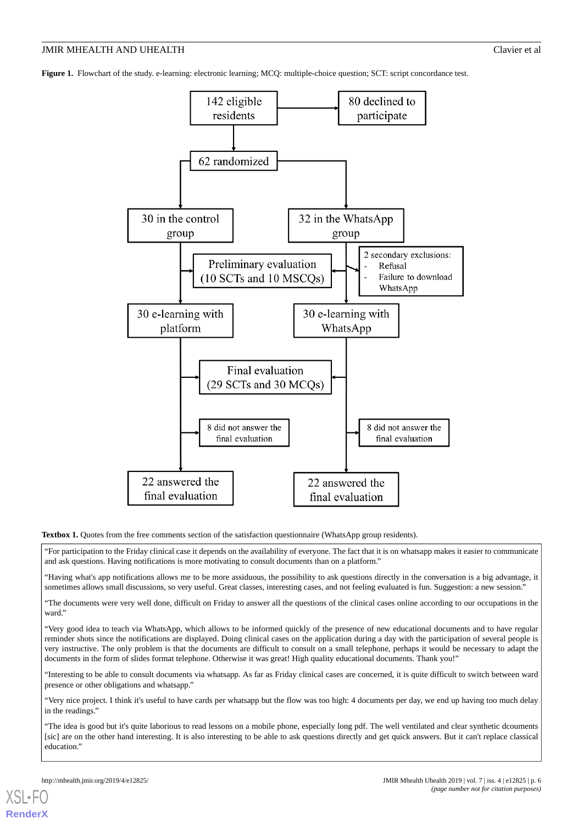<span id="page-5-0"></span>**Figure 1.** Flowchart of the study. e-learning: electronic learning; MCQ: multiple-choice question; SCT: script concordance test.



<span id="page-5-1"></span>**Textbox 1.** Quotes from the free comments section of the satisfaction questionnaire (WhatsApp group residents).

"For participation to the Friday clinical case it depends on the availability of everyone. The fact that it is on whatsapp makes it easier to communicate and ask questions. Having notifications is more motivating to consult documents than on a platform."

"Having what's app notifications allows me to be more assiduous, the possibility to ask questions directly in the conversation is a big advantage, it sometimes allows small discussions, so very useful. Great classes, interesting cases, and not feeling evaluated is fun. Suggestion: a new session."

"The documents were very well done, difficult on Friday to answer all the questions of the clinical cases online according to our occupations in the ward."

"Very good idea to teach via WhatsApp, which allows to be informed quickly of the presence of new educational documents and to have regular reminder shots since the notifications are displayed. Doing clinical cases on the application during a day with the participation of several people is very instructive. The only problem is that the documents are difficult to consult on a small telephone, perhaps it would be necessary to adapt the documents in the form of slides format telephone. Otherwise it was great! High quality educational documents. Thank you!"

"Interesting to be able to consult documents via whatsapp. As far as Friday clinical cases are concerned, it is quite difficult to switch between ward presence or other obligations and whatsapp."

"Very nice project. I think it's useful to have cards per whatsapp but the flow was too high: 4 documents per day, we end up having too much delay in the readings."

"The idea is good but it's quite laborious to read lessons on a mobile phone, especially long pdf. The well ventilated and clear synthetic dcouments [sic] are on the other hand interesting. It is also interesting to be able to ask questions directly and get quick answers. But it can't replace classical education."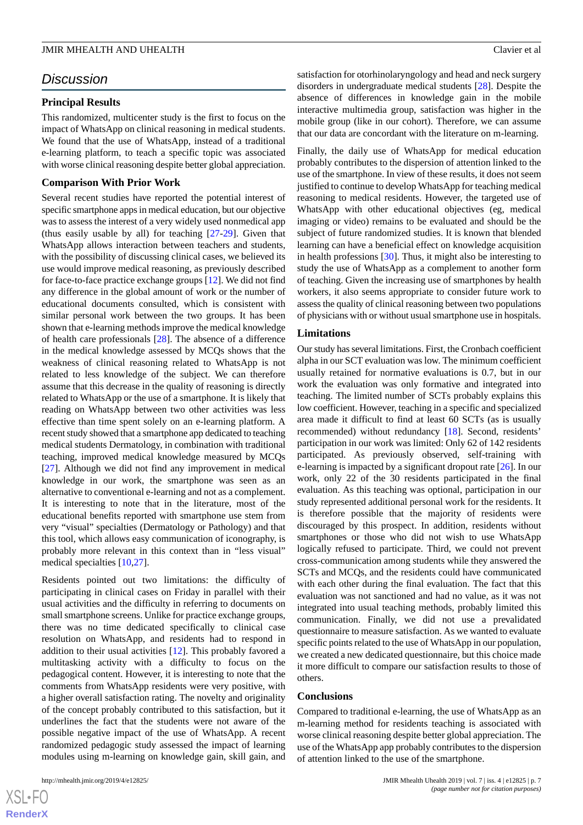# *Discussion*

#### **Principal Results**

This randomized, multicenter study is the first to focus on the impact of WhatsApp on clinical reasoning in medical students. We found that the use of WhatsApp, instead of a traditional e-learning platform, to teach a specific topic was associated with worse clinical reasoning despite better global appreciation.

#### **Comparison With Prior Work**

Several recent studies have reported the potential interest of specific smartphone apps in medical education, but our objective was to assess the interest of a very widely used nonmedical app (thus easily usable by all) for teaching [[27-](#page-8-20)[29\]](#page-9-0). Given that WhatsApp allows interaction between teachers and students, with the possibility of discussing clinical cases, we believed its use would improve medical reasoning, as previously described for face-to-face practice exchange groups [\[12](#page-8-6)]. We did not find any difference in the global amount of work or the number of educational documents consulted, which is consistent with similar personal work between the two groups. It has been shown that e-learning methods improve the medical knowledge of health care professionals [\[28](#page-9-1)]. The absence of a difference in the medical knowledge assessed by MCQs shows that the weakness of clinical reasoning related to WhatsApp is not related to less knowledge of the subject. We can therefore assume that this decrease in the quality of reasoning is directly related to WhatsApp or the use of a smartphone. It is likely that reading on WhatsApp between two other activities was less effective than time spent solely on an e-learning platform. A recent study showed that a smartphone app dedicated to teaching medical students Dermatology, in combination with traditional teaching, improved medical knowledge measured by MCQs [[27\]](#page-8-20). Although we did not find any improvement in medical knowledge in our work, the smartphone was seen as an alternative to conventional e-learning and not as a complement. It is interesting to note that in the literature, most of the educational benefits reported with smartphone use stem from very "visual" specialties (Dermatology or Pathology) and that this tool, which allows easy communication of iconography, is probably more relevant in this context than in "less visual" medical specialties [\[10](#page-8-4),[27\]](#page-8-20).

Residents pointed out two limitations: the difficulty of participating in clinical cases on Friday in parallel with their usual activities and the difficulty in referring to documents on small smartphone screens. Unlike for practice exchange groups, there was no time dedicated specifically to clinical case resolution on WhatsApp, and residents had to respond in addition to their usual activities [\[12](#page-8-6)]. This probably favored a multitasking activity with a difficulty to focus on the pedagogical content. However, it is interesting to note that the comments from WhatsApp residents were very positive, with a higher overall satisfaction rating. The novelty and originality of the concept probably contributed to this satisfaction, but it underlines the fact that the students were not aware of the possible negative impact of the use of WhatsApp. A recent randomized pedagogic study assessed the impact of learning modules using m-learning on knowledge gain, skill gain, and

 $XSI - F($ **[RenderX](http://www.renderx.com/)** satisfaction for otorhinolaryngology and head and neck surgery disorders in undergraduate medical students [\[28](#page-9-1)]. Despite the absence of differences in knowledge gain in the mobile interactive multimedia group, satisfaction was higher in the mobile group (like in our cohort). Therefore, we can assume that our data are concordant with the literature on m-learning.

Finally, the daily use of WhatsApp for medical education probably contributes to the dispersion of attention linked to the use of the smartphone. In view of these results, it does not seem justified to continue to develop WhatsApp for teaching medical reasoning to medical residents. However, the targeted use of WhatsApp with other educational objectives (eg, medical imaging or video) remains to be evaluated and should be the subject of future randomized studies. It is known that blended learning can have a beneficial effect on knowledge acquisition in health professions [\[30](#page-9-2)]. Thus, it might also be interesting to study the use of WhatsApp as a complement to another form of teaching. Given the increasing use of smartphones by health workers, it also seems appropriate to consider future work to assess the quality of clinical reasoning between two populations of physicians with or without usual smartphone use in hospitals.

#### **Limitations**

Our study has several limitations. First, the Cronbach coefficient alpha in our SCT evaluation was low. The minimum coefficient usually retained for normative evaluations is 0.7, but in our work the evaluation was only formative and integrated into teaching. The limited number of SCTs probably explains this low coefficient. However, teaching in a specific and specialized area made it difficult to find at least 60 SCTs (as is usually recommended) without redundancy [\[18](#page-8-11)]. Second, residents' participation in our work was limited: Only 62 of 142 residents participated. As previously observed, self-training with e-learning is impacted by a significant dropout rate [[26\]](#page-8-19). In our work, only 22 of the 30 residents participated in the final evaluation. As this teaching was optional, participation in our study represented additional personal work for the residents. It is therefore possible that the majority of residents were discouraged by this prospect. In addition, residents without smartphones or those who did not wish to use WhatsApp logically refused to participate. Third, we could not prevent cross-communication among students while they answered the SCTs and MCQs, and the residents could have communicated with each other during the final evaluation. The fact that this evaluation was not sanctioned and had no value, as it was not integrated into usual teaching methods, probably limited this communication. Finally, we did not use a prevalidated questionnaire to measure satisfaction. As we wanted to evaluate specific points related to the use of WhatsApp in our population, we created a new dedicated questionnaire, but this choice made it more difficult to compare our satisfaction results to those of others.

#### **Conclusions**

Compared to traditional e-learning, the use of WhatsApp as an m-learning method for residents teaching is associated with worse clinical reasoning despite better global appreciation. The use of the WhatsApp app probably contributes to the dispersion of attention linked to the use of the smartphone.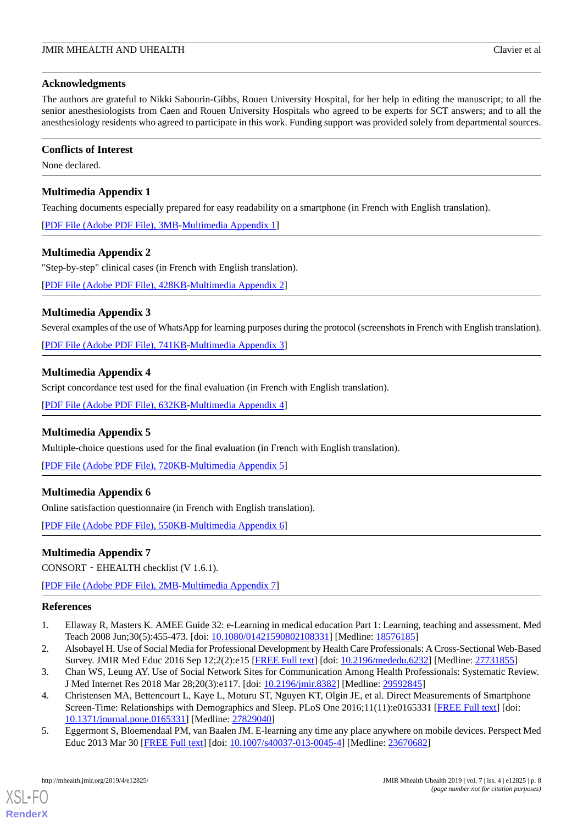#### **Acknowledgments**

The authors are grateful to Nikki Sabourin-Gibbs, Rouen University Hospital, for her help in editing the manuscript; to all the senior anesthesiologists from Caen and Rouen University Hospitals who agreed to be experts for SCT answers; and to all the anesthesiology residents who agreed to participate in this work. Funding support was provided solely from departmental sources.

## **Conflicts of Interest**

<span id="page-7-4"></span>None declared.

# **Multimedia Appendix 1**

Teaching documents especially prepared for easy readability on a smartphone (in French with English translation).

<span id="page-7-5"></span>[[PDF File \(Adobe PDF File\), 3MB](https://jmir.org/api/download?alt_name=mhealth_v7i4e12825_app1.pdf&filename=7b0010e8b9f4c47026d25ee8ce0c1d90.pdf)-[Multimedia Appendix 1\]](https://jmir.org/api/download?alt_name=mhealth_v7i4e12825_app1.pdf&filename=7b0010e8b9f4c47026d25ee8ce0c1d90.pdf)

# **Multimedia Appendix 2**

"Step-by-step" clinical cases (in French with English translation).

<span id="page-7-6"></span>[[PDF File \(Adobe PDF File\), 428KB-Multimedia Appendix 2](https://jmir.org/api/download?alt_name=mhealth_v7i4e12825_app2.pdf&filename=204dbd77b1c7597f8effe7727a7546f1.pdf)]

# **Multimedia Appendix 3**

<span id="page-7-7"></span>Several examples of the use of WhatsApp for learning purposes during the protocol (screenshots in French with English translation).

[[PDF File \(Adobe PDF File\), 741KB-Multimedia Appendix 3](https://jmir.org/api/download?alt_name=mhealth_v7i4e12825_app3.pdf&filename=b943f86ca2f3e9dfd0965fd952fa1f29.pdf)]

# **Multimedia Appendix 4**

<span id="page-7-8"></span>Script concordance test used for the final evaluation (in French with English translation).

[[PDF File \(Adobe PDF File\), 632KB-Multimedia Appendix 4](https://jmir.org/api/download?alt_name=mhealth_v7i4e12825_app4.pdf&filename=e166e2391be27d1e4ed0f78066891cbf.pdf)]

# **Multimedia Appendix 5**

<span id="page-7-9"></span>Multiple-choice questions used for the final evaluation (in French with English translation).

[[PDF File \(Adobe PDF File\), 720KB-Multimedia Appendix 5](https://jmir.org/api/download?alt_name=mhealth_v7i4e12825_app5.pdf&filename=62950c61f0082c1f01f8fa65aef71455.pdf)]

# **Multimedia Appendix 6**

Online satisfaction questionnaire (in French with English translation).

[[PDF File \(Adobe PDF File\), 550KB-Multimedia Appendix 6](https://jmir.org/api/download?alt_name=mhealth_v7i4e12825_app6.pdf&filename=e8cd6d9d149810691c05f0015a8d8b57.pdf)]

# **Multimedia Appendix 7**

<span id="page-7-0"></span>CONSORT‐EHEALTH checklist (V 1.6.1).

<span id="page-7-1"></span>[[PDF File \(Adobe PDF File\), 2MB](https://jmir.org/api/download?alt_name=mhealth_v7i4e12825_app7.pdf&filename=3491941eae9f57cb9e18696e09e0d5d2.pdf)-[Multimedia Appendix 7\]](https://jmir.org/api/download?alt_name=mhealth_v7i4e12825_app7.pdf&filename=3491941eae9f57cb9e18696e09e0d5d2.pdf)

# <span id="page-7-2"></span>**References**

- <span id="page-7-3"></span>1. Ellaway R, Masters K. AMEE Guide 32: e-Learning in medical education Part 1: Learning, teaching and assessment. Med Teach 2008 Jun;30(5):455-473. [doi: [10.1080/01421590802108331](http://dx.doi.org/10.1080/01421590802108331)] [Medline: [18576185](http://www.ncbi.nlm.nih.gov/entrez/query.fcgi?cmd=Retrieve&db=PubMed&list_uids=18576185&dopt=Abstract)]
- 2. Alsobayel H. Use of Social Media for Professional Development by Health Care Professionals: A Cross-Sectional Web-Based Survey. JMIR Med Educ 2016 Sep 12;2(2):e15 [\[FREE Full text\]](http://mededu.jmir.org/2016/2/e15/) [doi: [10.2196/mededu.6232\]](http://dx.doi.org/10.2196/mededu.6232) [Medline: [27731855](http://www.ncbi.nlm.nih.gov/entrez/query.fcgi?cmd=Retrieve&db=PubMed&list_uids=27731855&dopt=Abstract)]
- 3. Chan WS, Leung AY. Use of Social Network Sites for Communication Among Health Professionals: Systematic Review. J Med Internet Res 2018 Mar 28;20(3):e117. [doi: [10.2196/jmir.8382\]](http://dx.doi.org/10.2196/jmir.8382) [Medline: [29592845](http://www.ncbi.nlm.nih.gov/entrez/query.fcgi?cmd=Retrieve&db=PubMed&list_uids=29592845&dopt=Abstract)]
- 4. Christensen MA, Bettencourt L, Kaye L, Moturu ST, Nguyen KT, Olgin JE, et al. Direct Measurements of Smartphone Screen-Time: Relationships with Demographics and Sleep. PLoS One 2016;11(11):e0165331 [[FREE Full text](http://dx.plos.org/10.1371/journal.pone.0165331)] [doi: [10.1371/journal.pone.0165331\]](http://dx.doi.org/10.1371/journal.pone.0165331) [Medline: [27829040](http://www.ncbi.nlm.nih.gov/entrez/query.fcgi?cmd=Retrieve&db=PubMed&list_uids=27829040&dopt=Abstract)]
- 5. Eggermont S, Bloemendaal PM, van Baalen JM. E-learning any time any place anywhere on mobile devices. Perspect Med Educ 2013 Mar 30 [\[FREE Full text\]](http://europepmc.org/abstract/MED/23670682) [doi: [10.1007/s40037-013-0045-4\]](http://dx.doi.org/10.1007/s40037-013-0045-4) [Medline: [23670682\]](http://www.ncbi.nlm.nih.gov/entrez/query.fcgi?cmd=Retrieve&db=PubMed&list_uids=23670682&dopt=Abstract)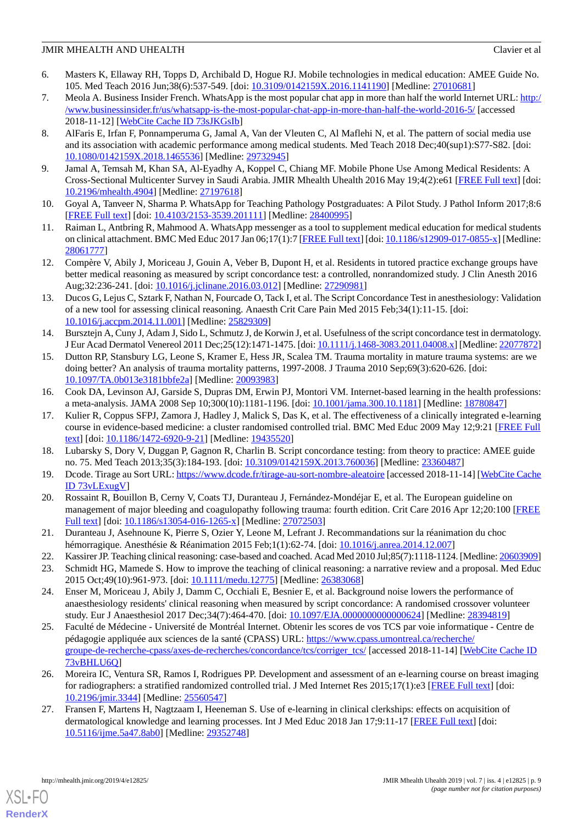- <span id="page-8-0"></span>6. Masters K, Ellaway RH, Topps D, Archibald D, Hogue RJ. Mobile technologies in medical education: AMEE Guide No. 105. Med Teach 2016 Jun;38(6):537-549. [doi: [10.3109/0142159X.2016.1141190](http://dx.doi.org/10.3109/0142159X.2016.1141190)] [Medline: [27010681](http://www.ncbi.nlm.nih.gov/entrez/query.fcgi?cmd=Retrieve&db=PubMed&list_uids=27010681&dopt=Abstract)]
- <span id="page-8-1"></span>7. Meola A. Business Insider French. WhatsApp is the most popular chat app in more than half the world Internet URL: [http:/](http://www.businessinsider.fr/us/whatsapp-is-the-most-popular-chat-app-in-more-than-half-the-world-2016-5/) [/www.businessinsider.fr/us/whatsapp-is-the-most-popular-chat-app-in-more-than-half-the-world-2016-5/](http://www.businessinsider.fr/us/whatsapp-is-the-most-popular-chat-app-in-more-than-half-the-world-2016-5/) [accessed 2018-11-12] [\[WebCite Cache ID 73sJKGsIb\]](http://www.webcitation.org/

                                73sJKGsIb)
- <span id="page-8-2"></span>8. AlFaris E, Irfan F, Ponnamperuma G, Jamal A, Van der Vleuten C, Al Maflehi N, et al. The pattern of social media use and its association with academic performance among medical students. Med Teach 2018 Dec;40(sup1):S77-S82. [doi: [10.1080/0142159X.2018.1465536](http://dx.doi.org/10.1080/0142159X.2018.1465536)] [Medline: [29732945\]](http://www.ncbi.nlm.nih.gov/entrez/query.fcgi?cmd=Retrieve&db=PubMed&list_uids=29732945&dopt=Abstract)
- <span id="page-8-4"></span><span id="page-8-3"></span>9. Jamal A, Temsah M, Khan SA, Al-Eyadhy A, Koppel C, Chiang MF. Mobile Phone Use Among Medical Residents: A Cross-Sectional Multicenter Survey in Saudi Arabia. JMIR Mhealth Uhealth 2016 May 19;4(2):e61 [\[FREE Full text](http://mhealth.jmir.org/2016/2/e61/)] [doi: [10.2196/mhealth.4904](http://dx.doi.org/10.2196/mhealth.4904)] [Medline: [27197618](http://www.ncbi.nlm.nih.gov/entrez/query.fcgi?cmd=Retrieve&db=PubMed&list_uids=27197618&dopt=Abstract)]
- <span id="page-8-5"></span>10. Goyal A, Tanveer N, Sharma P. WhatsApp for Teaching Pathology Postgraduates: A Pilot Study. J Pathol Inform 2017;8:6 [[FREE Full text](http://www.jpathinformatics.org/article.asp?issn=2153-3539;year=2017;volume=8;issue=1;spage=6;epage=6;aulast=Goyal)] [doi: [10.4103/2153-3539.201111\]](http://dx.doi.org/10.4103/2153-3539.201111) [Medline: [28400995](http://www.ncbi.nlm.nih.gov/entrez/query.fcgi?cmd=Retrieve&db=PubMed&list_uids=28400995&dopt=Abstract)]
- <span id="page-8-6"></span>11. Raiman L, Antbring R, Mahmood A. WhatsApp messenger as a tool to supplement medical education for medical students on clinical attachment. BMC Med Educ 2017 Jan 06;17(1):7 [[FREE Full text](https://bmcmededuc.biomedcentral.com/articles/10.1186/s12909-017-0855-x)] [doi: [10.1186/s12909-017-0855-x](http://dx.doi.org/10.1186/s12909-017-0855-x)] [Medline: [28061777](http://www.ncbi.nlm.nih.gov/entrez/query.fcgi?cmd=Retrieve&db=PubMed&list_uids=28061777&dopt=Abstract)]
- 12. Compère V, Abily J, Moriceau J, Gouin A, Veber B, Dupont H, et al. Residents in tutored practice exchange groups have better medical reasoning as measured by script concordance test: a controlled, nonrandomized study. J Clin Anesth 2016 Aug;32:236-241. [doi: [10.1016/j.jclinane.2016.03.012\]](http://dx.doi.org/10.1016/j.jclinane.2016.03.012) [Medline: [27290981\]](http://www.ncbi.nlm.nih.gov/entrez/query.fcgi?cmd=Retrieve&db=PubMed&list_uids=27290981&dopt=Abstract)
- <span id="page-8-7"></span>13. Ducos G, Lejus C, Sztark F, Nathan N, Fourcade O, Tack I, et al. The Script Concordance Test in anesthesiology: Validation of a new tool for assessing clinical reasoning. Anaesth Crit Care Pain Med 2015 Feb;34(1):11-15. [doi: [10.1016/j.accpm.2014.11.001\]](http://dx.doi.org/10.1016/j.accpm.2014.11.001) [Medline: [25829309\]](http://www.ncbi.nlm.nih.gov/entrez/query.fcgi?cmd=Retrieve&db=PubMed&list_uids=25829309&dopt=Abstract)
- <span id="page-8-8"></span>14. Bursztejn A, Cuny J, Adam J, Sido L, Schmutz J, de Korwin J, et al. Usefulness of the script concordance test in dermatology. J Eur Acad Dermatol Venereol 2011 Dec;25(12):1471-1475. [doi: [10.1111/j.1468-3083.2011.04008.x\]](http://dx.doi.org/10.1111/j.1468-3083.2011.04008.x) [Medline: [22077872\]](http://www.ncbi.nlm.nih.gov/entrez/query.fcgi?cmd=Retrieve&db=PubMed&list_uids=22077872&dopt=Abstract)
- <span id="page-8-10"></span><span id="page-8-9"></span>15. Dutton RP, Stansbury LG, Leone S, Kramer E, Hess JR, Scalea TM. Trauma mortality in mature trauma systems: are we doing better? An analysis of trauma mortality patterns, 1997-2008. J Trauma 2010 Sep;69(3):620-626. [doi: [10.1097/TA.0b013e3181bbfe2a](http://dx.doi.org/10.1097/TA.0b013e3181bbfe2a)] [Medline: [20093983](http://www.ncbi.nlm.nih.gov/entrez/query.fcgi?cmd=Retrieve&db=PubMed&list_uids=20093983&dopt=Abstract)]
- 16. Cook DA, Levinson AJ, Garside S, Dupras DM, Erwin PJ, Montori VM. Internet-based learning in the health professions: a meta-analysis. JAMA 2008 Sep 10;300(10):1181-1196. [doi: [10.1001/jama.300.10.1181\]](http://dx.doi.org/10.1001/jama.300.10.1181) [Medline: [18780847](http://www.ncbi.nlm.nih.gov/entrez/query.fcgi?cmd=Retrieve&db=PubMed&list_uids=18780847&dopt=Abstract)]
- <span id="page-8-12"></span><span id="page-8-11"></span>17. Kulier R, Coppus SFPJ, Zamora J, Hadley J, Malick S, Das K, et al. The effectiveness of a clinically integrated e-learning course in evidence-based medicine: a cluster randomised controlled trial. BMC Med Educ 2009 May 12;9:21 [[FREE Full](https://bmcmededuc.biomedcentral.com/articles/10.1186/1472-6920-9-21) [text](https://bmcmededuc.biomedcentral.com/articles/10.1186/1472-6920-9-21)] [doi: [10.1186/1472-6920-9-21\]](http://dx.doi.org/10.1186/1472-6920-9-21) [Medline: [19435520\]](http://www.ncbi.nlm.nih.gov/entrez/query.fcgi?cmd=Retrieve&db=PubMed&list_uids=19435520&dopt=Abstract)
- <span id="page-8-13"></span>18. Lubarsky S, Dory V, Duggan P, Gagnon R, Charlin B. Script concordance testing: from theory to practice: AMEE guide no. 75. Med Teach 2013;35(3):184-193. [doi: [10.3109/0142159X.2013.760036](http://dx.doi.org/10.3109/0142159X.2013.760036)] [Medline: [23360487\]](http://www.ncbi.nlm.nih.gov/entrez/query.fcgi?cmd=Retrieve&db=PubMed&list_uids=23360487&dopt=Abstract)
- <span id="page-8-14"></span>19. Dcode. Tirage au Sort URL:<https://www.dcode.fr/tirage-au-sort-nombre-aleatoire> [accessed 2018-11-14] [[WebCite Cache](http://www.webcitation.org/

                                73vLExugV) [ID 73vLExugV](http://www.webcitation.org/

                                73vLExugV)]
- <span id="page-8-16"></span><span id="page-8-15"></span>20. Rossaint R, Bouillon B, Cerny V, Coats TJ, Duranteau J, Fernández-Mondéjar E, et al. The European guideline on management of major bleeding and coagulopathy following trauma: fourth edition. Crit Care 2016 Apr 12;20:100 [\[FREE](https://ccforum.biomedcentral.com/articles/10.1186/s13054-016-1265-x) [Full text\]](https://ccforum.biomedcentral.com/articles/10.1186/s13054-016-1265-x) [doi: [10.1186/s13054-016-1265-x](http://dx.doi.org/10.1186/s13054-016-1265-x)] [Medline: [27072503](http://www.ncbi.nlm.nih.gov/entrez/query.fcgi?cmd=Retrieve&db=PubMed&list_uids=27072503&dopt=Abstract)]
- <span id="page-8-17"></span>21. Duranteau J, Asehnoune K, Pierre S, Ozier Y, Leone M, Lefrant J. Recommandations sur la réanimation du choc hémorragique. Anesthésie & Réanimation 2015 Feb;1(1):62-74. [doi: [10.1016/j.anrea.2014.12.007\]](http://dx.doi.org/10.1016/j.anrea.2014.12.007)
- 22. Kassirer JP. Teaching clinical reasoning: case-based and coached. Acad Med 2010 Jul;85(7):1118-1124. [Medline: [20603909\]](http://www.ncbi.nlm.nih.gov/entrez/query.fcgi?cmd=Retrieve&db=PubMed&list_uids=20603909&dopt=Abstract)
- <span id="page-8-18"></span>23. Schmidt HG, Mamede S. How to improve the teaching of clinical reasoning: a narrative review and a proposal. Med Educ 2015 Oct;49(10):961-973. [doi: [10.1111/medu.12775](http://dx.doi.org/10.1111/medu.12775)] [Medline: [26383068](http://www.ncbi.nlm.nih.gov/entrez/query.fcgi?cmd=Retrieve&db=PubMed&list_uids=26383068&dopt=Abstract)]
- <span id="page-8-19"></span>24. Enser M, Moriceau J, Abily J, Damm C, Occhiali E, Besnier E, et al. Background noise lowers the performance of anaesthesiology residents' clinical reasoning when measured by script concordance: A randomised crossover volunteer study. Eur J Anaesthesiol 2017 Dec;34(7):464-470. [doi: [10.1097/EJA.0000000000000624\]](http://dx.doi.org/10.1097/EJA.0000000000000624) [Medline: [28394819\]](http://www.ncbi.nlm.nih.gov/entrez/query.fcgi?cmd=Retrieve&db=PubMed&list_uids=28394819&dopt=Abstract)
- <span id="page-8-20"></span>25. Faculté de Médecine - Université de Montréal Internet. Obtenir les scores de vos TCS par voie informatique - Centre de pédagogie appliquée aux sciences de la santé (CPASS) URL: [https://www.cpass.umontreal.ca/recherche/](https://www.cpass.umontreal.ca/recherche/groupe-de-recherche-cpass/axes-de-recherches/concordance/tcs/corriger_tcs/) [groupe-de-recherche-cpass/axes-de-recherches/concordance/tcs/corriger\\_tcs/](https://www.cpass.umontreal.ca/recherche/groupe-de-recherche-cpass/axes-de-recherches/concordance/tcs/corriger_tcs/) [accessed 2018-11-14] [\[WebCite Cache ID](http://www.webcitation.org/

                                73vBHLU6Q) [73vBHLU6Q\]](http://www.webcitation.org/

                                73vBHLU6Q)
- 26. Moreira IC, Ventura SR, Ramos I, Rodrigues PP. Development and assessment of an e-learning course on breast imaging for radiographers: a stratified randomized controlled trial. J Med Internet Res 2015;17(1):e3 [\[FREE Full text\]](http://www.jmir.org/2015/1/e3/) [doi: [10.2196/jmir.3344](http://dx.doi.org/10.2196/jmir.3344)] [Medline: [25560547](http://www.ncbi.nlm.nih.gov/entrez/query.fcgi?cmd=Retrieve&db=PubMed&list_uids=25560547&dopt=Abstract)]
- 27. Fransen F, Martens H, Nagtzaam I, Heeneman S. Use of e-learning in clinical clerkships: effects on acquisition of dermatological knowledge and learning processes. Int J Med Educ 2018 Jan 17;9:11-17 [[FREE Full text](https://www.ijme.net/pmid/29352748)] [doi: [10.5116/ijme.5a47.8ab0\]](http://dx.doi.org/10.5116/ijme.5a47.8ab0) [Medline: [29352748](http://www.ncbi.nlm.nih.gov/entrez/query.fcgi?cmd=Retrieve&db=PubMed&list_uids=29352748&dopt=Abstract)]